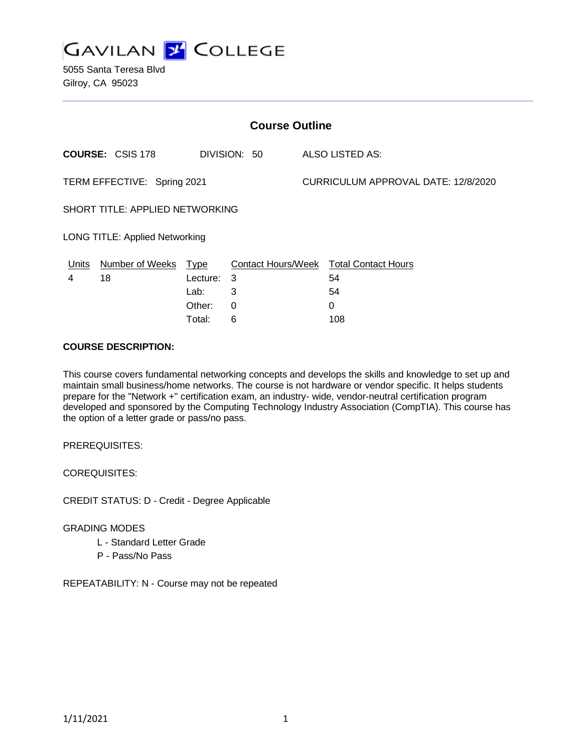

5055 Santa Teresa Blvd Gilroy, CA 95023

| <b>Course Outline</b>                  |                         |             |                           |                                     |                            |
|----------------------------------------|-------------------------|-------------|---------------------------|-------------------------------------|----------------------------|
|                                        | <b>COURSE: CSIS 178</b> |             | DIVISION: 50              |                                     | <b>ALSO LISTED AS:</b>     |
| TERM EFFECTIVE: Spring 2021            |                         |             |                           | CURRICULUM APPROVAL DATE: 12/8/2020 |                            |
| <b>SHORT TITLE: APPLIED NETWORKING</b> |                         |             |                           |                                     |                            |
| LONG TITLE: Applied Networking         |                         |             |                           |                                     |                            |
| <u>Units</u>                           | <b>Number of Weeks</b>  | <u>Type</u> | <b>Contact Hours/Week</b> |                                     | <b>Total Contact Hours</b> |
| 4                                      | 18                      | Lecture:    | 3                         |                                     | 54                         |
|                                        |                         | Lab:        | 3                         |                                     | 54                         |
|                                        |                         | Other:      | $\Omega$                  |                                     | 0                          |
|                                        |                         | Total:      | 6                         |                                     | 108                        |

#### **COURSE DESCRIPTION:**

This course covers fundamental networking concepts and develops the skills and knowledge to set up and maintain small business/home networks. The course is not hardware or vendor specific. It helps students prepare for the "Network +" certification exam, an industry- wide, vendor-neutral certification program developed and sponsored by the Computing Technology Industry Association (CompTIA). This course has the option of a letter grade or pass/no pass.

PREREQUISITES:

COREQUISITES:

CREDIT STATUS: D - Credit - Degree Applicable

# GRADING MODES

- L Standard Letter Grade
- P Pass/No Pass

REPEATABILITY: N - Course may not be repeated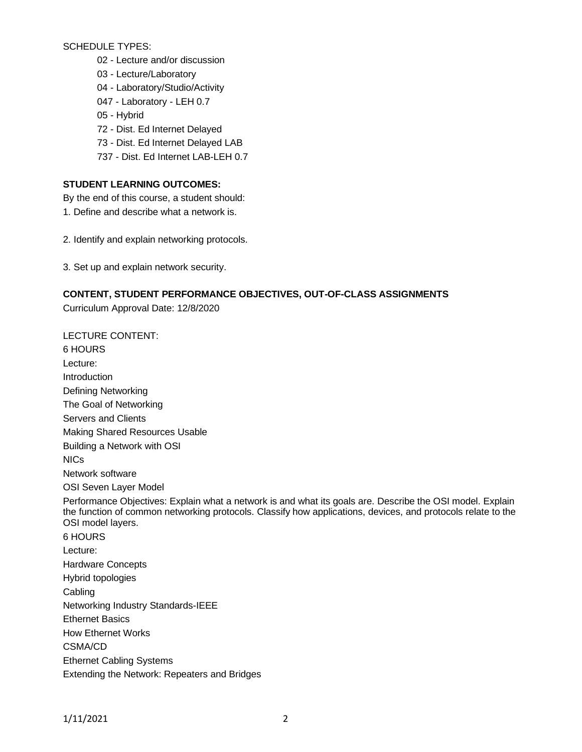SCHEDULE TYPES:

- 02 Lecture and/or discussion
- 03 Lecture/Laboratory
- 04 Laboratory/Studio/Activity
- 047 Laboratory LEH 0.7
- 05 Hybrid
- 72 Dist. Ed Internet Delayed
- 73 Dist. Ed Internet Delayed LAB
- 737 Dist. Ed Internet LAB-LEH 0.7

# **STUDENT LEARNING OUTCOMES:**

By the end of this course, a student should:

- 1. Define and describe what a network is.
- 2. Identify and explain networking protocols.
- 3. Set up and explain network security.

# **CONTENT, STUDENT PERFORMANCE OBJECTIVES, OUT-OF-CLASS ASSIGNMENTS**

Curriculum Approval Date: 12/8/2020

LECTURE CONTENT: 6 HOURS Lecture: Introduction Defining Networking The Goal of Networking Servers and Clients Making Shared Resources Usable Building a Network with OSI NICs Network software OSI Seven Layer Model Performance Objectives: Explain what a network is and what its goals are. Describe the OSI model. Explain the function of common networking protocols. Classify how applications, devices, and protocols relate to the OSI model layers. 6 HOURS Lecture: Hardware Concepts Hybrid topologies **Cabling** Networking Industry Standards-IEEE Ethernet Basics How Ethernet Works CSMA/CD Ethernet Cabling Systems Extending the Network: Repeaters and Bridges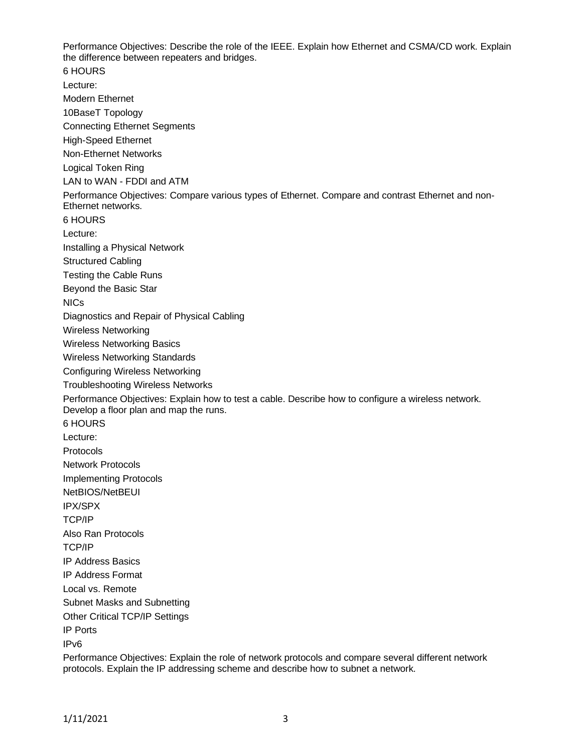Performance Objectives: Describe the role of the IEEE. Explain how Ethernet and CSMA/CD work. Explain the difference between repeaters and bridges. 6 HOURS Lecture: Modern Ethernet 10BaseT Topology Connecting Ethernet Segments High-Speed Ethernet Non-Ethernet Networks Logical Token Ring LAN to WAN - FDDI and ATM Performance Objectives: Compare various types of Ethernet. Compare and contrast Ethernet and non-Ethernet networks. 6 HOURS Lecture: Installing a Physical Network Structured Cabling Testing the Cable Runs Beyond the Basic Star NICs Diagnostics and Repair of Physical Cabling Wireless Networking Wireless Networking Basics Wireless Networking Standards Configuring Wireless Networking Troubleshooting Wireless Networks Performance Objectives: Explain how to test a cable. Describe how to configure a wireless network. Develop a floor plan and map the runs. 6 HOURS Lecture: Protocols Network Protocols Implementing Protocols NetBIOS/NetBEUI IPX/SPX TCP/IP Also Ran Protocols TCP/IP IP Address Basics IP Address Format Local vs. Remote Subnet Masks and Subnetting Other Critical TCP/IP Settings IP Ports IPv6

Performance Objectives: Explain the role of network protocols and compare several different network protocols. Explain the IP addressing scheme and describe how to subnet a network.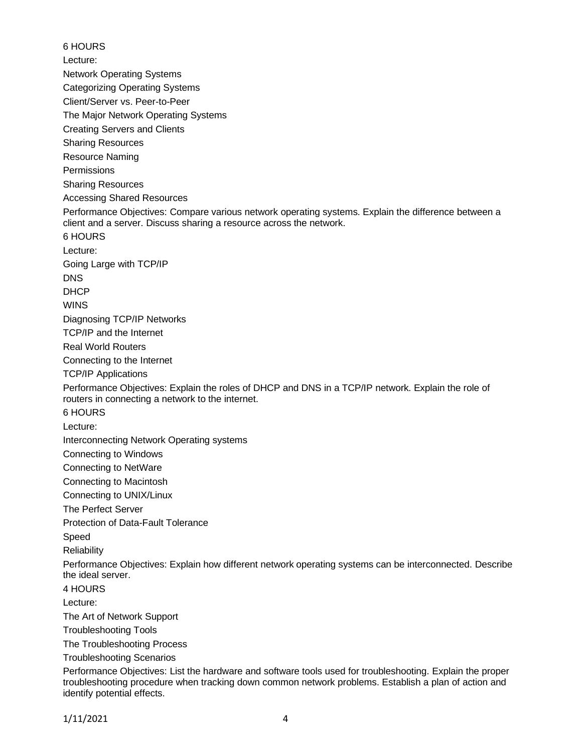6 HOURS Lecture: Network Operating Systems Categorizing Operating Systems Client/Server vs. Peer-to-Peer The Major Network Operating Systems Creating Servers and Clients Sharing Resources Resource Naming **Permissions** Sharing Resources Accessing Shared Resources Performance Objectives: Compare various network operating systems. Explain the difference between a client and a server. Discuss sharing a resource across the network. 6 HOURS Lecture: Going Large with TCP/IP DNS DHCP WINS Diagnosing TCP/IP Networks TCP/IP and the Internet Real World Routers Connecting to the Internet TCP/IP Applications Performance Objectives: Explain the roles of DHCP and DNS in a TCP/IP network. Explain the role of routers in connecting a network to the internet. 6 HOURS Lecture: Interconnecting Network Operating systems Connecting to Windows Connecting to NetWare Connecting to Macintosh Connecting to UNIX/Linux The Perfect Server Protection of Data-Fault Tolerance Speed **Reliability** Performance Objectives: Explain how different network operating systems can be interconnected. Describe the ideal server. 4 HOURS Lecture: The Art of Network Support Troubleshooting Tools The Troubleshooting Process Troubleshooting Scenarios Performance Objectives: List the hardware and software tools used for troubleshooting. Explain the proper troubleshooting procedure when tracking down common network problems. Establish a plan of action and identify potential effects.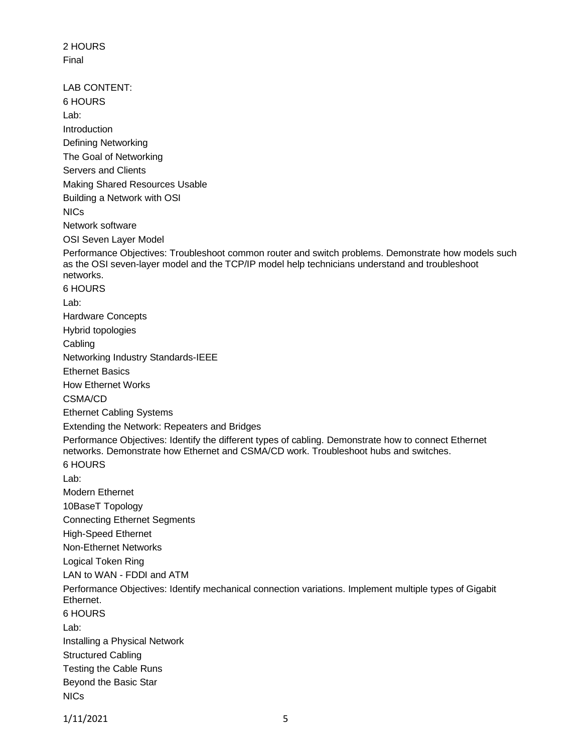2 HOURS Final LAB CONTENT: 6 HOURS Lab: Introduction Defining Networking The Goal of Networking Servers and Clients Making Shared Resources Usable Building a Network with OSI NICs Network software OSI Seven Layer Model Performance Objectives: Troubleshoot common router and switch problems. Demonstrate how models such as the OSI seven-layer model and the TCP/IP model help technicians understand and troubleshoot networks. 6 HOURS Lab: Hardware Concepts Hybrid topologies **Cabling** Networking Industry Standards-IEEE Ethernet Basics How Ethernet Works CSMA/CD Ethernet Cabling Systems Extending the Network: Repeaters and Bridges Performance Objectives: Identify the different types of cabling. Demonstrate how to connect Ethernet networks. Demonstrate how Ethernet and CSMA/CD work. Troubleshoot hubs and switches. 6 HOURS Lab: Modern Ethernet 10BaseT Topology Connecting Ethernet Segments High-Speed Ethernet Non-Ethernet Networks Logical Token Ring LAN to WAN - FDDI and ATM Performance Objectives: Identify mechanical connection variations. Implement multiple types of Gigabit Ethernet. 6 HOURS Lab: Installing a Physical Network Structured Cabling Testing the Cable Runs Beyond the Basic Star NICs

1/11/2021 5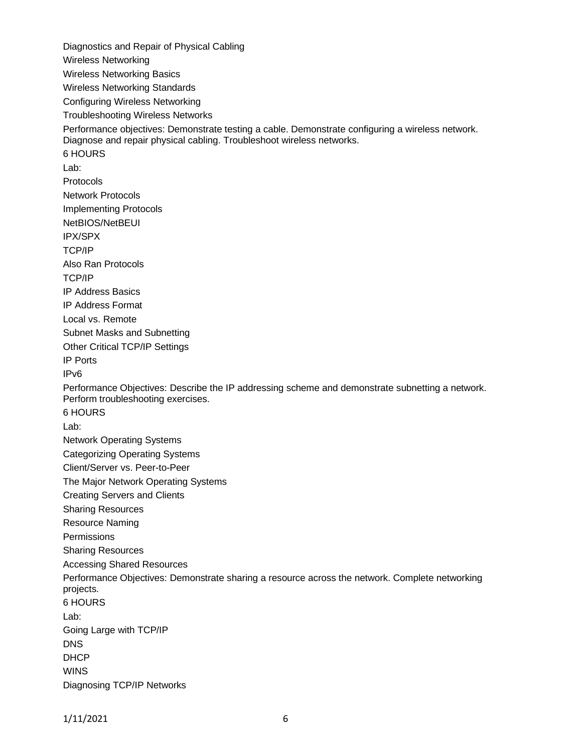Diagnostics and Repair of Physical Cabling Wireless Networking Wireless Networking Basics Wireless Networking Standards Configuring Wireless Networking Troubleshooting Wireless Networks Performance objectives: Demonstrate testing a cable. Demonstrate configuring a wireless network. Diagnose and repair physical cabling. Troubleshoot wireless networks. 6 HOURS Lab: Protocols Network Protocols Implementing Protocols NetBIOS/NetBEUI IPX/SPX TCP/IP Also Ran Protocols TCP/IP IP Address Basics IP Address Format Local vs. Remote Subnet Masks and Subnetting Other Critical TCP/IP Settings IP Ports IPv6 Performance Objectives: Describe the IP addressing scheme and demonstrate subnetting a network. Perform troubleshooting exercises. 6 HOURS Lab: Network Operating Systems Categorizing Operating Systems Client/Server vs. Peer-to-Peer The Major Network Operating Systems Creating Servers and Clients Sharing Resources Resource Naming **Permissions** Sharing Resources Accessing Shared Resources Performance Objectives: Demonstrate sharing a resource across the network. Complete networking projects. 6 HOURS Lab: Going Large with TCP/IP **DNS DHCP** WINS Diagnosing TCP/IP Networks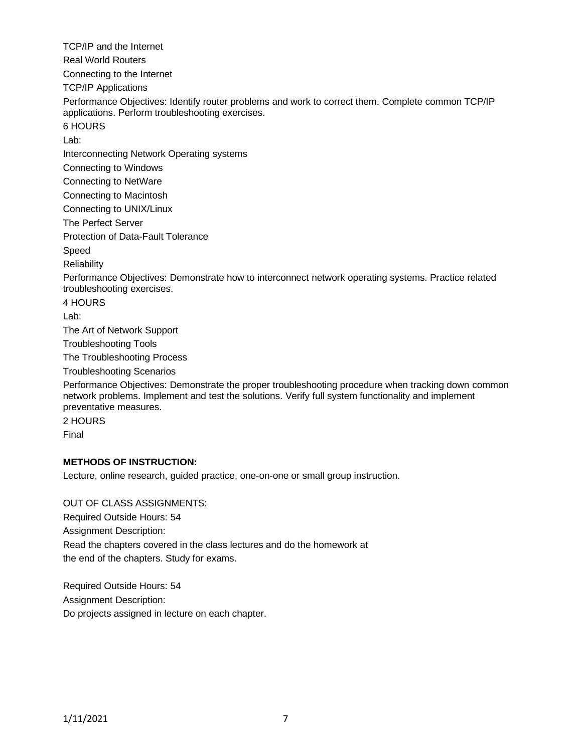TCP/IP and the Internet Real World Routers Connecting to the Internet TCP/IP Applications Performance Objectives: Identify router problems and work to correct them. Complete common TCP/IP applications. Perform troubleshooting exercises. 6 HOURS Lab: Interconnecting Network Operating systems Connecting to Windows Connecting to NetWare Connecting to Macintosh Connecting to UNIX/Linux The Perfect Server Protection of Data-Fault Tolerance Speed **Reliability** Performance Objectives: Demonstrate how to interconnect network operating systems. Practice related troubleshooting exercises. 4 HOURS Lab: The Art of Network Support Troubleshooting Tools The Troubleshooting Process Troubleshooting Scenarios Performance Objectives: Demonstrate the proper troubleshooting procedure when tracking down common network problems. Implement and test the solutions. Verify full system functionality and implement preventative measures. 2 HOURS

Final

### **METHODS OF INSTRUCTION:**

Lecture, online research, guided practice, one-on-one or small group instruction.

OUT OF CLASS ASSIGNMENTS: Required Outside Hours: 54 Assignment Description: Read the chapters covered in the class lectures and do the homework at the end of the chapters. Study for exams.

Required Outside Hours: 54 Assignment Description: Do projects assigned in lecture on each chapter.